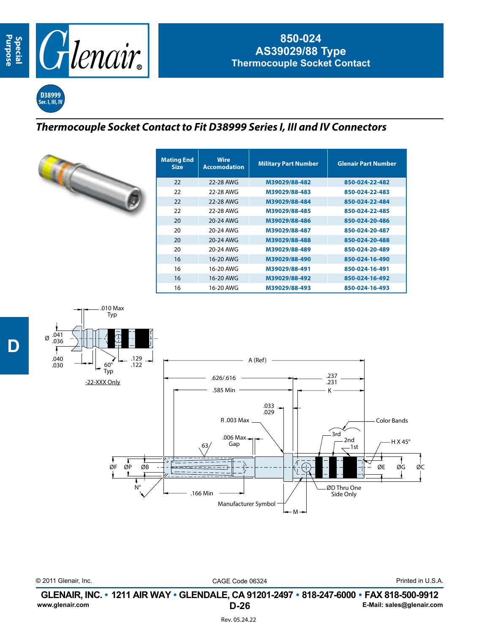

## **850-024 AS39029/88 Type Thermocouple Socket Contact**

**D38999 Ser. I, III, IV**

## *Thermocouple Socket Contact to Fit D38999 Series I, III and IV Connectors*



| <b>Mating End</b><br><b>Size</b> | <b>Wire</b><br><b>Accomodation</b> | <b>Military Part Number</b> | <b>Glenair Part Number</b> |  |  |
|----------------------------------|------------------------------------|-----------------------------|----------------------------|--|--|
| 22                               | 22-28 AWG                          | M39029/88-482               | 850-024-22-482             |  |  |
| 22                               | 22-28 AWG                          | M39029/88-483               | 850-024-22-483             |  |  |
| 22                               | 22-28 AWG                          | M39029/88-484               | 850-024-22-484             |  |  |
| 22                               | 22-28 AWG                          | M39029/88-485               | 850-024-22-485             |  |  |
| 20                               | 20-24 AWG                          | M39029/88-486               | 850-024-20-486             |  |  |
| 20                               | 20-24 AWG                          | M39029/88-487               | 850-024-20-487             |  |  |
| 20                               | 20-24 AWG                          | M39029/88-488               | 850-024-20-488             |  |  |
| 20                               | 20-24 AWG                          | M39029/88-489               | 850-024-20-489             |  |  |
| 16                               | 16-20 AWG                          | M39029/88-490               | 850-024-16-490             |  |  |
| 16                               | 16-20 AWG                          | M39029/88-491               | 850-024-16-491             |  |  |
| 16                               | 16-20 AWG                          | M39029/88-492               | 850-024-16-492             |  |  |
| 16                               | 16-20 AWG                          | M39029/88-493               | 850-024-16-493             |  |  |



© 2011 Glenair, Inc. CAGE Code 06324 Printed in U.S.A.

**D-26 GLENAIR, INC. • 1211 AIR WAY • GLENDALE, CA 91201-2497 • 818-247-6000 • FAX 818-500-9912**<br>E-Mail: sales@glenair.com **www.glenair.com E-Mail: sales@glenair.com**